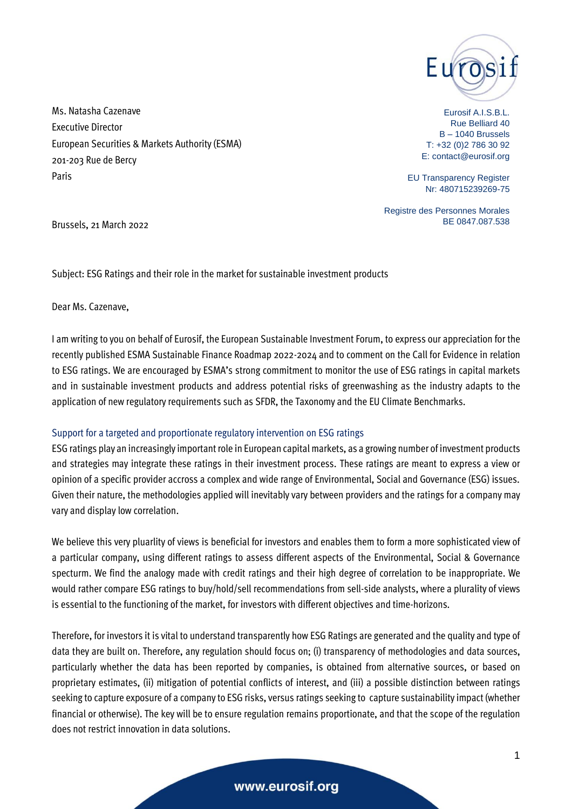

Ms. Natasha Cazenave Executive Director European Securities & Markets Authority (ESMA) 201-203 Rue de Bercy Paris

Eurosif A.I.S.B.L. Rue Belliard 40 B – 1040 Brussels T: +32 (0)2 786 30 92 E: contact@eurosif.org

EU Transparency Register Nr: 480715239269-75

Registre des Personnes Morales BE 0847.087.538

Brussels, 21 March 2022

Subject: ESG Ratings and their role in the market for sustainable investment products

Dear Ms. Cazenave,

I am writing to you on behalf of Eurosif, the European Sustainable Investment Forum, to express our appreciation for the recently published ESMA Sustainable Finance Roadmap 2022-2024 and to comment on the Call for Evidence in relation to ESG ratings. We are encouraged by ESMA's strong commitment to monitor the use of ESG ratings in capital markets and in sustainable investment products and address potential risks of greenwashing as the industry adapts to the application of new regulatory requirements such as SFDR, the Taxonomy and the EU Climate Benchmarks.

## Support for a targeted and proportionate regulatory intervention on ESG ratings

ESG ratings play an increasingly important role in European capital markets, as a growing number of investment products and strategies may integrate these ratings in their investment process. These ratings are meant to express a view or opinion of a specific provider accross a complex and wide range of Environmental, Social and Governance (ESG) issues. Given their nature, the methodologies applied will inevitably vary between providers and the ratings for a company may vary and display low correlation.

We believe this very pluarlity of views is beneficial for investors and enables them to form a more sophisticated view of a particular company, using different ratings to assess different aspects of the Environmental, Social & Governance specturm. We find the analogy made with credit ratings and their high degree of correlation to be inappropriate. We would rather compare ESG ratings to buy/hold/sell recommendations from sell-side analysts, where a plurality of views is essential to the functioning of the market, for investors with different objectives and time-horizons.

Therefore, for investors it is vital to understand transparently how ESG Ratings are generated and the quality and type of data they are built on. Therefore, any regulation should focus on; (i) transparency of methodologies and data sources, particularly whether the data has been reported by companies, is obtained from alternative sources, or based on proprietary estimates, (ii) mitigation of potential conflicts of interest, and (iii) a possible distinction between ratings seeking to capture exposure of a company to ESG risks, versus ratings seeking to capture sustainability impact (whether financial or otherwise). The key will be to ensure regulation remains proportionate, and that the scope of the regulation does not restrict innovation in data solutions.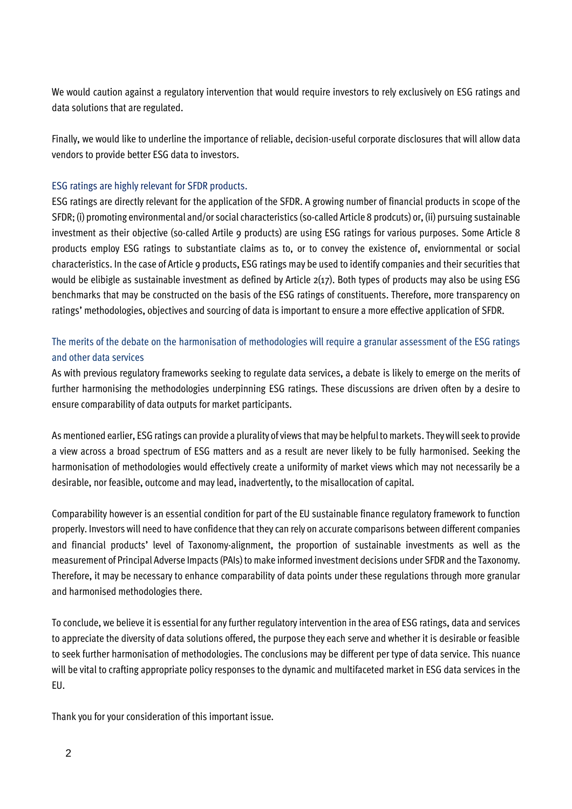We would caution against a regulatory intervention that would require investors to rely exclusively on ESG ratings and data solutions that are regulated.

Finally, we would like to underline the importance of reliable, decision-useful corporate disclosures that will allow data vendors to provide better ESG data to investors.

## ESG ratings are highly relevant for SFDR products.

ESG ratings are directly relevant for the application of the SFDR. A growing number of financial products in scope of the SFDR; (i) promoting environmental and/or social characteristics (so-called Article 8 prodcuts) or, (ii) pursuing sustainable investment as their objective (so-called Artile 9 products) are using ESG ratings for various purposes. Some Article 8 products employ ESG ratings to substantiate claims as to, or to convey the existence of, enviornmental or social characteristics. In the case of Article 9 products, ESG ratings may be used to identify companies and their securities that would be elibigle as sustainable investment as defined by Article 2(17). Both types of products may also be using ESG benchmarks that may be constructed on the basis of the ESG ratings of constituents. Therefore, more transparency on ratings' methodologies, objectives and sourcing of data is important to ensure a more effective application of SFDR.

## The merits of the debate on the harmonisation of methodologies will require a granular assessment of the ESG ratings and other data services

As with previous regulatory frameworks seeking to regulate data services, a debate is likely to emerge on the merits of further harmonising the methodologies underpinning ESG ratings. These discussions are driven often by a desire to ensure comparability of data outputs for market participants.

As mentioned earlier, ESG ratings can provide a plurality of views that may be helpful to markets. They will seek to provide a view across a broad spectrum of ESG matters and as a result are never likely to be fully harmonised. Seeking the harmonisation of methodologies would effectively create a uniformity of market views which may not necessarily be a desirable, nor feasible, outcome and may lead, inadvertently, to the misallocation of capital.

Comparability however is an essential condition for part of the EU sustainable finance regulatory framework to function properly. Investors will need to have confidence that they can rely on accurate comparisons between different companies and financial products' level of Taxonomy-alignment, the proportion of sustainable investments as well as the measurement of Principal Adverse Impacts (PAIs) to make informed investment decisions under SFDR and the Taxonomy. Therefore, it may be necessary to enhance comparability of data points under these regulations through more granular and harmonised methodologies there.

To conclude, we believe it is essential for any further regulatory intervention in the area of ESG ratings, data and services to appreciate the diversity of data solutions offered, the purpose they each serve and whether it is desirable or feasible to seek further harmonisation of methodologies. The conclusions may be different per type of data service. This nuance will be vital to crafting appropriate policy responses to the dynamic and multifaceted market in ESG data services in the EU.

Thank you for your consideration of this important issue.